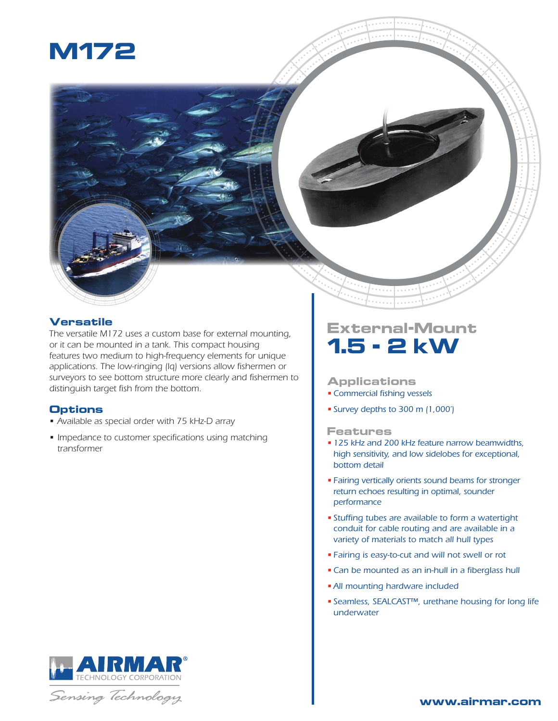

## **Versatile**

*The versatile M172 uses a custom base for external mounting, or it can be mounted in a tank. This compact housing features two medium to high-frequency elements for unique applications. The low-ringing (lq) versions allow fishermen or surveyors to see bottom structure more clearly and fishermen to distinguish target fish from the bottom.*

## **Options**

- *• Available as special order with 75 kHz-D array*
- *• Impedance to customer specifications using matching transformer*

# **External-Mount 1.5 - 2 kW**

## **Applications**

- *•Commercial fishing vessels*
- *• Survey depths to 300 m (1,000')*

## **Features**

- *• 125 kHz and 200 kHz feature narrow beamwidths, high sensitivity, and low sidelobes for exceptional, bottom detail*
- *• Fairing vertically orients sound beams for stronger return echoes resulting in optimal, sounder performance*
- *• Stuffing tubes are available to form a watertight conduit for cable routing and are available in a variety of materials to match all hull types*
- *• Fairing is easy-to-cut and will not swell or rot*
- *•Can be mounted as an in-hull in a fiberglass hull*
- *•All mounting hardware included*
- *• Seamless, SEALCAST™, urethane housing for long life underwater*





## **www.airmar.com**